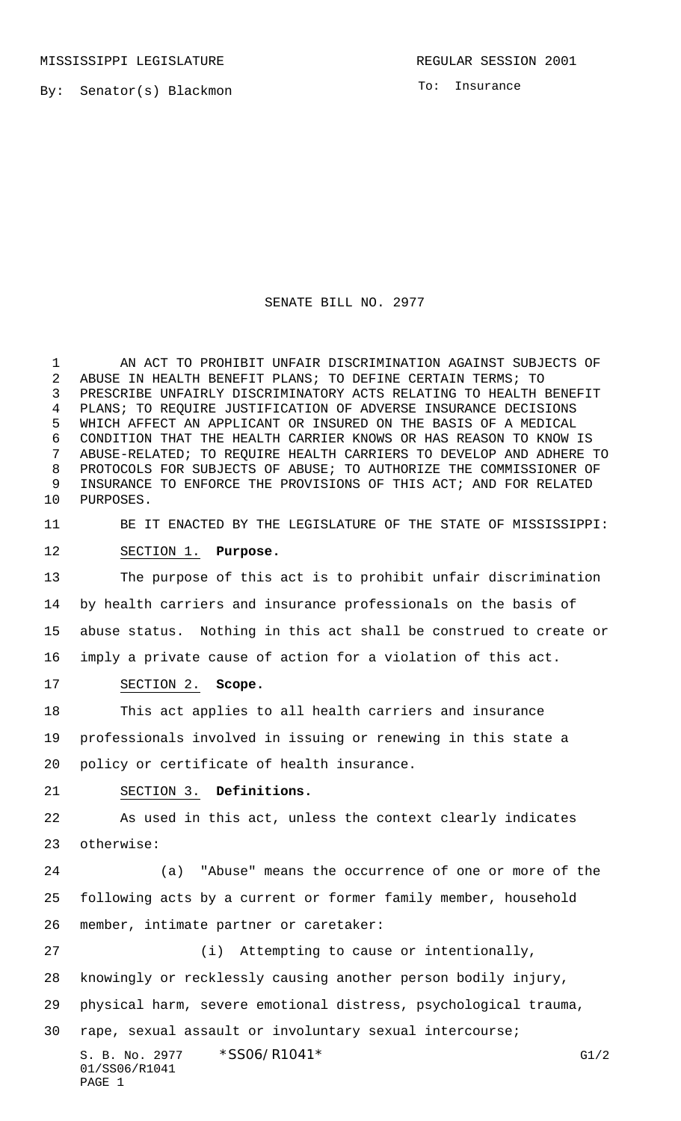MISSISSIPPI LEGISLATURE **REGULAR SESSION 2001** 

By: Senator(s) Blackmon

To: Insurance

### SENATE BILL NO. 2977

 AN ACT TO PROHIBIT UNFAIR DISCRIMINATION AGAINST SUBJECTS OF ABUSE IN HEALTH BENEFIT PLANS; TO DEFINE CERTAIN TERMS; TO PRESCRIBE UNFAIRLY DISCRIMINATORY ACTS RELATING TO HEALTH BENEFIT PLANS; TO REQUIRE JUSTIFICATION OF ADVERSE INSURANCE DECISIONS WHICH AFFECT AN APPLICANT OR INSURED ON THE BASIS OF A MEDICAL CONDITION THAT THE HEALTH CARRIER KNOWS OR HAS REASON TO KNOW IS ABUSE-RELATED; TO REQUIRE HEALTH CARRIERS TO DEVELOP AND ADHERE TO PROTOCOLS FOR SUBJECTS OF ABUSE; TO AUTHORIZE THE COMMISSIONER OF INSURANCE TO ENFORCE THE PROVISIONS OF THIS ACT; AND FOR RELATED PURPOSES.

BE IT ENACTED BY THE LEGISLATURE OF THE STATE OF MISSISSIPPI:

SECTION 1. **Purpose.**

 The purpose of this act is to prohibit unfair discrimination by health carriers and insurance professionals on the basis of abuse status. Nothing in this act shall be construed to create or imply a private cause of action for a violation of this act.

SECTION 2. **Scope.**

 This act applies to all health carriers and insurance professionals involved in issuing or renewing in this state a policy or certificate of health insurance.

# SECTION 3. **Definitions.**

 As used in this act, unless the context clearly indicates otherwise:

 (a) "Abuse" means the occurrence of one or more of the following acts by a current or former family member, household member, intimate partner or caretaker:

(i) Attempting to cause or intentionally,

knowingly or recklessly causing another person bodily injury,

physical harm, severe emotional distress, psychological trauma,

rape, sexual assault or involuntary sexual intercourse;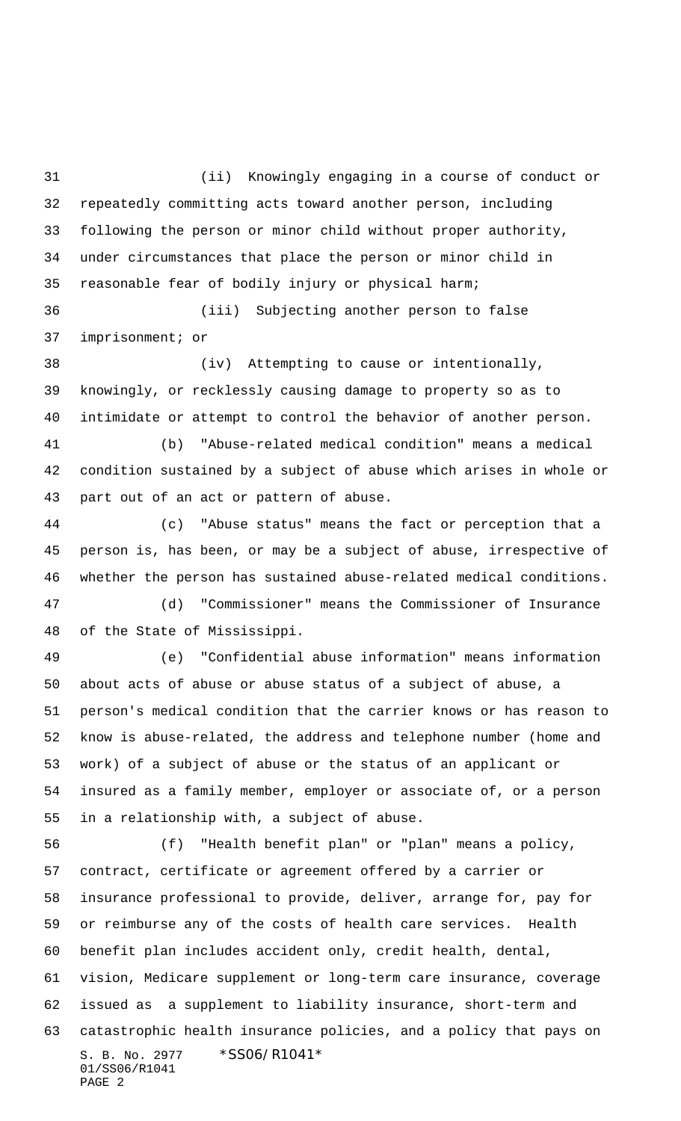(ii) Knowingly engaging in a course of conduct or repeatedly committing acts toward another person, including following the person or minor child without proper authority, under circumstances that place the person or minor child in reasonable fear of bodily injury or physical harm;

 (iii) Subjecting another person to false imprisonment; or

 (iv) Attempting to cause or intentionally, knowingly, or recklessly causing damage to property so as to intimidate or attempt to control the behavior of another person.

 (b) "Abuse-related medical condition" means a medical condition sustained by a subject of abuse which arises in whole or part out of an act or pattern of abuse.

 (c) "Abuse status" means the fact or perception that a person is, has been, or may be a subject of abuse, irrespective of whether the person has sustained abuse-related medical conditions. (d) "Commissioner" means the Commissioner of Insurance

of the State of Mississippi.

 (e) "Confidential abuse information" means information about acts of abuse or abuse status of a subject of abuse, a person's medical condition that the carrier knows or has reason to know is abuse-related, the address and telephone number (home and work) of a subject of abuse or the status of an applicant or insured as a family member, employer or associate of, or a person in a relationship with, a subject of abuse.

S. B. No. 2977 \* SS06/R1041\* 01/SS06/R1041 PAGE 2 (f) "Health benefit plan" or "plan" means a policy, contract, certificate or agreement offered by a carrier or insurance professional to provide, deliver, arrange for, pay for or reimburse any of the costs of health care services. Health benefit plan includes accident only, credit health, dental, vision, Medicare supplement or long-term care insurance, coverage issued as a supplement to liability insurance, short-term and catastrophic health insurance policies, and a policy that pays on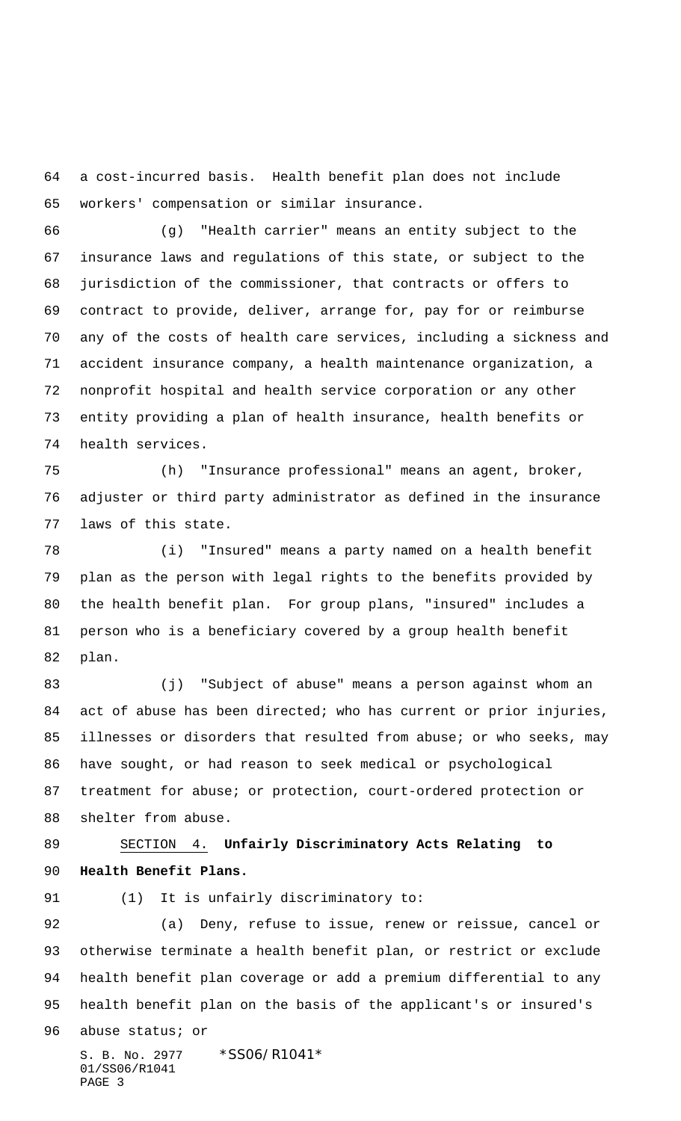a cost-incurred basis. Health benefit plan does not include workers' compensation or similar insurance.

 (g) "Health carrier" means an entity subject to the insurance laws and regulations of this state, or subject to the jurisdiction of the commissioner, that contracts or offers to contract to provide, deliver, arrange for, pay for or reimburse any of the costs of health care services, including a sickness and accident insurance company, a health maintenance organization, a nonprofit hospital and health service corporation or any other entity providing a plan of health insurance, health benefits or health services.

 (h) "Insurance professional" means an agent, broker, adjuster or third party administrator as defined in the insurance laws of this state.

 (i) "Insured" means a party named on a health benefit plan as the person with legal rights to the benefits provided by the health benefit plan. For group plans, "insured" includes a person who is a beneficiary covered by a group health benefit plan.

 (j) "Subject of abuse" means a person against whom an act of abuse has been directed; who has current or prior injuries, illnesses or disorders that resulted from abuse; or who seeks, may have sought, or had reason to seek medical or psychological treatment for abuse; or protection, court-ordered protection or shelter from abuse.

# SECTION 4. **Unfairly Discriminatory Acts Relating to Health Benefit Plans.**

## 91 (1) It is unfairly discriminatory to:

 (a) Deny, refuse to issue, renew or reissue, cancel or otherwise terminate a health benefit plan, or restrict or exclude health benefit plan coverage or add a premium differential to any health benefit plan on the basis of the applicant's or insured's

abuse status; or

S. B. No. 2977 \* SS06/R1041\* 01/SS06/R1041 PAGE 3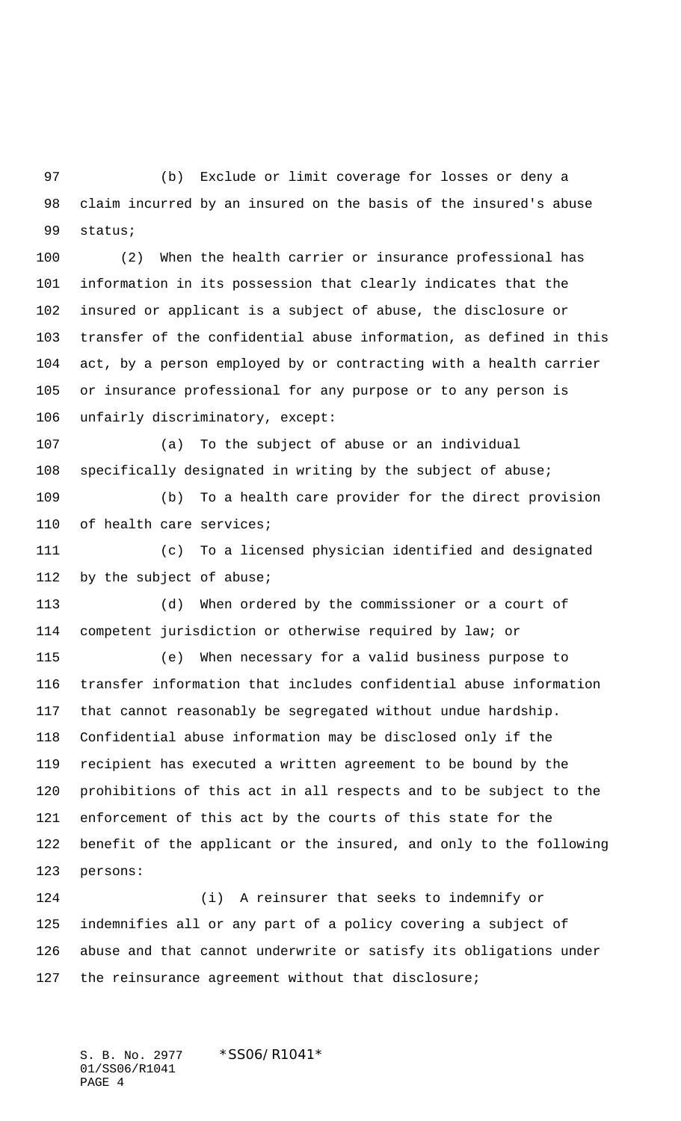(b) Exclude or limit coverage for losses or deny a claim incurred by an insured on the basis of the insured's abuse status;

 (2) When the health carrier or insurance professional has information in its possession that clearly indicates that the insured or applicant is a subject of abuse, the disclosure or transfer of the confidential abuse information, as defined in this act, by a person employed by or contracting with a health carrier or insurance professional for any purpose or to any person is unfairly discriminatory, except:

 (a) To the subject of abuse or an individual specifically designated in writing by the subject of abuse;

 (b) To a health care provider for the direct provision of health care services;

 (c) To a licensed physician identified and designated by the subject of abuse;

 (d) When ordered by the commissioner or a court of competent jurisdiction or otherwise required by law; or

 (e) When necessary for a valid business purpose to transfer information that includes confidential abuse information that cannot reasonably be segregated without undue hardship. Confidential abuse information may be disclosed only if the recipient has executed a written agreement to be bound by the prohibitions of this act in all respects and to be subject to the enforcement of this act by the courts of this state for the benefit of the applicant or the insured, and only to the following persons:

 (i) A reinsurer that seeks to indemnify or indemnifies all or any part of a policy covering a subject of abuse and that cannot underwrite or satisfy its obligations under the reinsurance agreement without that disclosure;

S. B. No. 2977 \* SS06/R1041\* 01/SS06/R1041 PAGE 4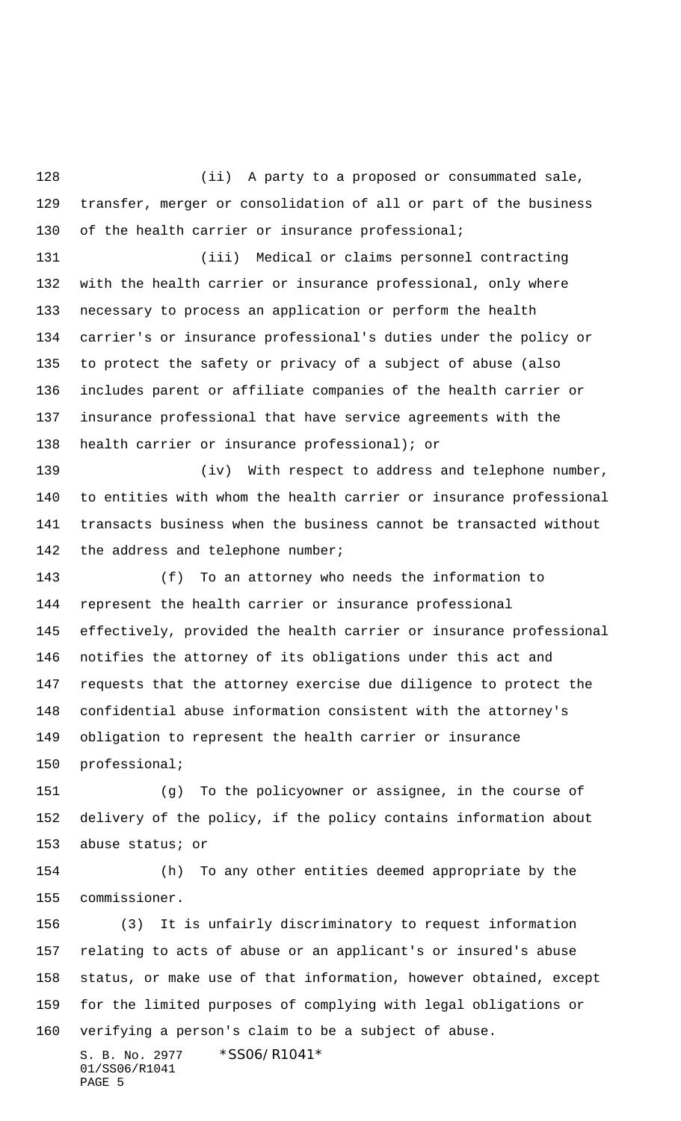(ii) A party to a proposed or consummated sale, transfer, merger or consolidation of all or part of the business 130 of the health carrier or insurance professional;

 (iii) Medical or claims personnel contracting with the health carrier or insurance professional, only where necessary to process an application or perform the health carrier's or insurance professional's duties under the policy or to protect the safety or privacy of a subject of abuse (also includes parent or affiliate companies of the health carrier or insurance professional that have service agreements with the health carrier or insurance professional); or

139 (iv) With respect to address and telephone number, to entities with whom the health carrier or insurance professional transacts business when the business cannot be transacted without 142 the address and telephone number;

 (f) To an attorney who needs the information to represent the health carrier or insurance professional effectively, provided the health carrier or insurance professional notifies the attorney of its obligations under this act and requests that the attorney exercise due diligence to protect the confidential abuse information consistent with the attorney's obligation to represent the health carrier or insurance professional;

 (g) To the policyowner or assignee, in the course of delivery of the policy, if the policy contains information about abuse status; or

 (h) To any other entities deemed appropriate by the commissioner.

 (3) It is unfairly discriminatory to request information relating to acts of abuse or an applicant's or insured's abuse status, or make use of that information, however obtained, except for the limited purposes of complying with legal obligations or verifying a person's claim to be a subject of abuse.

S. B. No. 2977 \* SS06/R1041\* 01/SS06/R1041 PAGE 5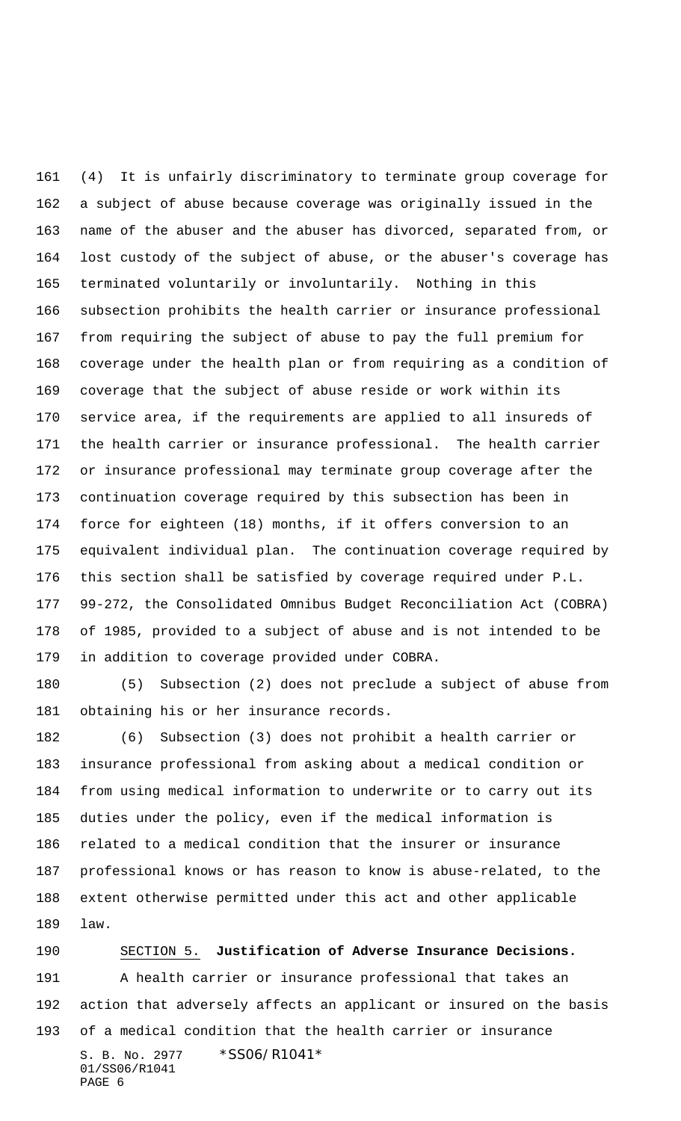(4) It is unfairly discriminatory to terminate group coverage for a subject of abuse because coverage was originally issued in the name of the abuser and the abuser has divorced, separated from, or lost custody of the subject of abuse, or the abuser's coverage has terminated voluntarily or involuntarily. Nothing in this subsection prohibits the health carrier or insurance professional from requiring the subject of abuse to pay the full premium for coverage under the health plan or from requiring as a condition of coverage that the subject of abuse reside or work within its service area, if the requirements are applied to all insureds of the health carrier or insurance professional. The health carrier or insurance professional may terminate group coverage after the continuation coverage required by this subsection has been in force for eighteen (18) months, if it offers conversion to an equivalent individual plan. The continuation coverage required by this section shall be satisfied by coverage required under P.L. 99-272, the Consolidated Omnibus Budget Reconciliation Act (COBRA) of 1985, provided to a subject of abuse and is not intended to be in addition to coverage provided under COBRA.

 (5) Subsection (2) does not preclude a subject of abuse from obtaining his or her insurance records.

 (6) Subsection (3) does not prohibit a health carrier or insurance professional from asking about a medical condition or from using medical information to underwrite or to carry out its duties under the policy, even if the medical information is related to a medical condition that the insurer or insurance professional knows or has reason to know is abuse-related, to the extent otherwise permitted under this act and other applicable law.

S. B. No. 2977 \* SS06/R1041\* 01/SS06/R1041 PAGE 6 SECTION 5. **Justification of Adverse Insurance Decisions.** A health carrier or insurance professional that takes an action that adversely affects an applicant or insured on the basis of a medical condition that the health carrier or insurance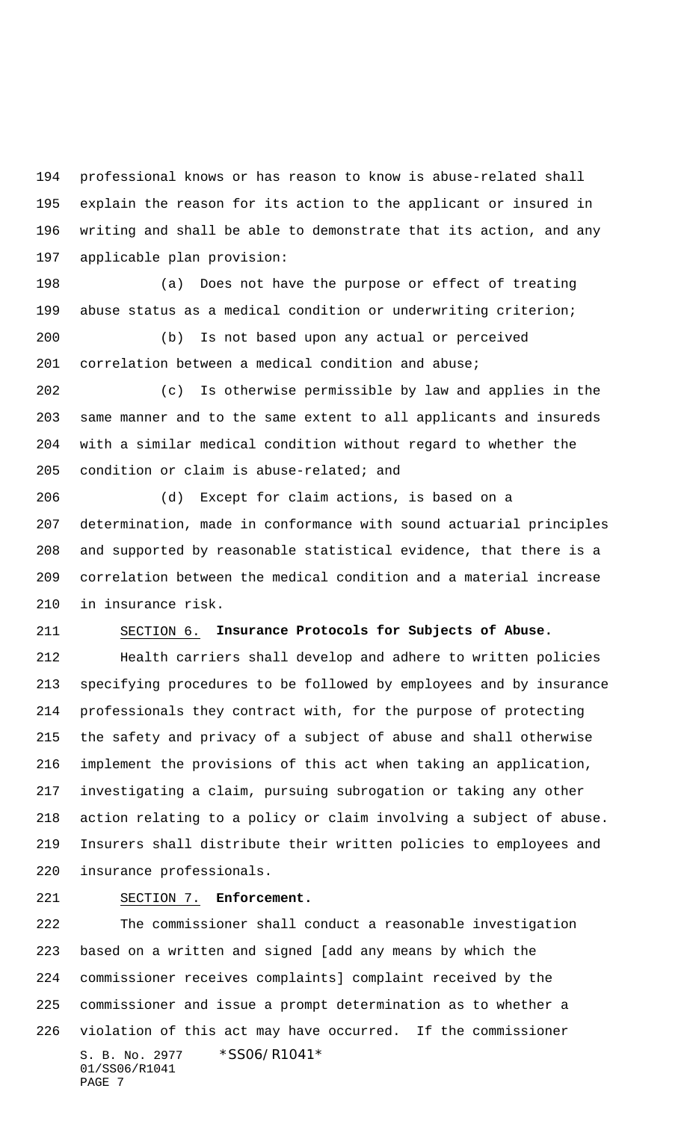professional knows or has reason to know is abuse-related shall explain the reason for its action to the applicant or insured in writing and shall be able to demonstrate that its action, and any applicable plan provision:

 (a) Does not have the purpose or effect of treating abuse status as a medical condition or underwriting criterion;

 (b) Is not based upon any actual or perceived correlation between a medical condition and abuse;

 (c) Is otherwise permissible by law and applies in the same manner and to the same extent to all applicants and insureds with a similar medical condition without regard to whether the condition or claim is abuse-related; and

 (d) Except for claim actions, is based on a determination, made in conformance with sound actuarial principles and supported by reasonable statistical evidence, that there is a correlation between the medical condition and a material increase in insurance risk.

# SECTION 6. **Insurance Protocols for Subjects of Abuse.**

 Health carriers shall develop and adhere to written policies specifying procedures to be followed by employees and by insurance professionals they contract with, for the purpose of protecting the safety and privacy of a subject of abuse and shall otherwise implement the provisions of this act when taking an application, investigating a claim, pursuing subrogation or taking any other action relating to a policy or claim involving a subject of abuse. Insurers shall distribute their written policies to employees and insurance professionals.

### SECTION 7. **Enforcement.**

S. B. No. 2977 \* SS06/R1041\* 01/SS06/R1041 PAGE 7 The commissioner shall conduct a reasonable investigation based on a written and signed [add any means by which the commissioner receives complaints] complaint received by the commissioner and issue a prompt determination as to whether a violation of this act may have occurred. If the commissioner